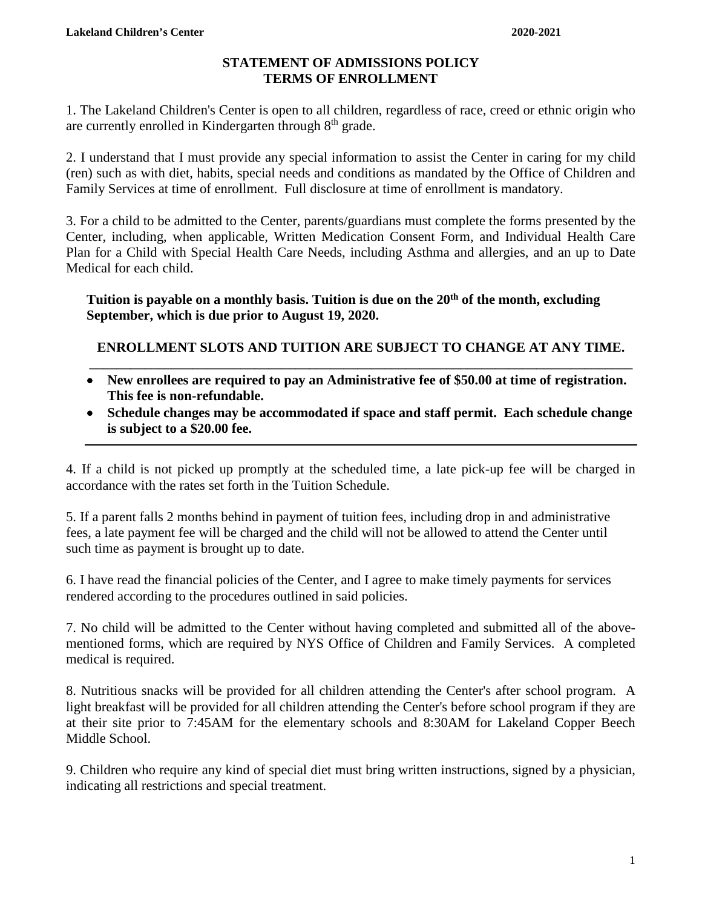## **STATEMENT OF ADMISSIONS POLICY TERMS OF ENROLLMENT**

1. The Lakeland Children's Center is open to all children, regardless of race, creed or ethnic origin who are currently enrolled in Kindergarten through 8<sup>th</sup> grade.

2. I understand that I must provide any special information to assist the Center in caring for my child (ren) such as with diet, habits, special needs and conditions as mandated by the Office of Children and Family Services at time of enrollment. Full disclosure at time of enrollment is mandatory.

3. For a child to be admitted to the Center, parents/guardians must complete the forms presented by the Center, including, when applicable, Written Medication Consent Form, and Individual Health Care Plan for a Child with Special Health Care Needs, including Asthma and allergies, and an up to Date Medical for each child.

Tuition is payable on a monthly basis. Tuition is due on the 20<sup>th</sup> of the month, excluding **September, which is due prior to August 19, 2020.**

**ENROLLMENT SLOTS AND TUITION ARE SUBJECT TO CHANGE AT ANY TIME. \_\_\_\_\_\_\_\_\_\_\_\_\_\_\_\_\_\_\_\_\_\_\_\_\_\_\_\_\_\_\_\_\_\_\_\_\_\_\_\_\_\_\_\_\_\_\_\_\_\_\_\_\_\_\_\_\_\_\_\_\_\_\_\_\_\_\_\_\_\_\_\_\_\_\_\_\_\_\_**

- **New enrollees are required to pay an Administrative fee of \$50.00 at time of registration. This fee is non-refundable.**
- **Schedule changes may be accommodated if space and staff permit. Each schedule change is subject to a \$20.00 fee.**

4. If a child is not picked up promptly at the scheduled time, a late pick-up fee will be charged in accordance with the rates set forth in the Tuition Schedule.

5. If a parent falls 2 months behind in payment of tuition fees, including drop in and administrative fees, a late payment fee will be charged and the child will not be allowed to attend the Center until such time as payment is brought up to date.

6. I have read the financial policies of the Center, and I agree to make timely payments for services rendered according to the procedures outlined in said policies.

7. No child will be admitted to the Center without having completed and submitted all of the abovementioned forms, which are required by NYS Office of Children and Family Services. A completed medical is required.

8. Nutritious snacks will be provided for all children attending the Center's after school program. A light breakfast will be provided for all children attending the Center's before school program if they are at their site prior to 7:45AM for the elementary schools and 8:30AM for Lakeland Copper Beech Middle School.

9. Children who require any kind of special diet must bring written instructions, signed by a physician, indicating all restrictions and special treatment.